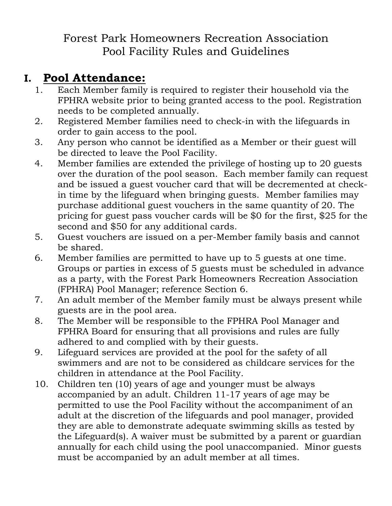#### Forest Park Homeowners Recreation Association Pool Facility Rules and Guidelines

#### **I. Pool Attendance:**

- 1. Each Member family is required to register their household via the FPHRA website prior to being granted access to the pool. Registration needs to be completed annually.
- 2. Registered Member families need to check-in with the lifeguards in order to gain access to the pool.
- 3. Any person who cannot be identified as a Member or their guest will be directed to leave the Pool Facility.
- 4. Member families are extended the privilege of hosting up to 20 guests over the duration of the pool season. Each member family can request and be issued a guest voucher card that will be decremented at checkin time by the lifeguard when bringing guests. Member families may purchase additional guest vouchers in the same quantity of 20. The pricing for guest pass voucher cards will be \$0 for the first, \$25 for the second and \$50 for any additional cards.
- 5. Guest vouchers are issued on a per-Member family basis and cannot be shared.
- 6. Member families are permitted to have up to 5 guests at one time. Groups or parties in excess of 5 guests must be scheduled in advance as a party, with the Forest Park Homeowners Recreation Association (FPHRA) Pool Manager; reference Section 6.
- 7. An adult member of the Member family must be always present while guests are in the pool area.
- 8. The Member will be responsible to the FPHRA Pool Manager and FPHRA Board for ensuring that all provisions and rules are fully adhered to and complied with by their guests.
- 9. Lifeguard services are provided at the pool for the safety of all swimmers and are not to be considered as childcare services for the children in attendance at the Pool Facility.
- 10. Children ten (10) years of age and younger must be always accompanied by an adult. Children 11-17 years of age may be permitted to use the Pool Facility without the accompaniment of an adult at the discretion of the lifeguards and pool manager, provided they are able to demonstrate adequate swimming skills as tested by the Lifeguard(s). A waiver must be submitted by a parent or guardian annually for each child using the pool unaccompanied. Minor guests must be accompanied by an adult member at all times.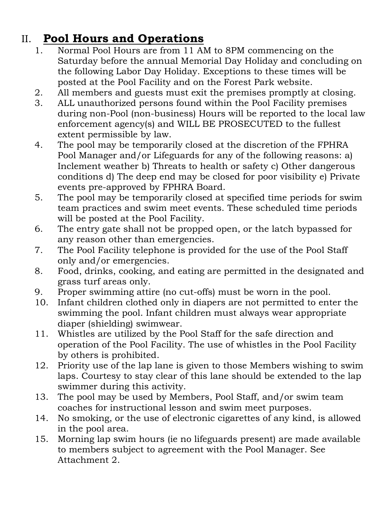### II. **Pool Hours and Operations**

- 1. Normal Pool Hours are from 11 AM to 8PM commencing on the Saturday before the annual Memorial Day Holiday and concluding on the following Labor Day Holiday. Exceptions to these times will be posted at the Pool Facility and on the Forest Park website.
- 2. All members and guests must exit the premises promptly at closing.
- 3. ALL unauthorized persons found within the Pool Facility premises during non-Pool (non-business) Hours will be reported to the local law enforcement agency(s) and WILL BE PROSECUTED to the fullest extent permissible by law.
- 4. The pool may be temporarily closed at the discretion of the FPHRA Pool Manager and/or Lifeguards for any of the following reasons: a) Inclement weather b) Threats to health or safety c) Other dangerous conditions d) The deep end may be closed for poor visibility e) Private events pre-approved by FPHRA Board.
- 5. The pool may be temporarily closed at specified time periods for swim team practices and swim meet events. These scheduled time periods will be posted at the Pool Facility.
- 6. The entry gate shall not be propped open, or the latch bypassed for any reason other than emergencies.
- 7. The Pool Facility telephone is provided for the use of the Pool Staff only and/or emergencies.
- 8. Food, drinks, cooking, and eating are permitted in the designated and grass turf areas only.
- 9. Proper swimming attire (no cut-offs) must be worn in the pool.
- 10. Infant children clothed only in diapers are not permitted to enter the swimming the pool. Infant children must always wear appropriate diaper (shielding) swimwear.
- 11. Whistles are utilized by the Pool Staff for the safe direction and operation of the Pool Facility. The use of whistles in the Pool Facility by others is prohibited.
- 12. Priority use of the lap lane is given to those Members wishing to swim laps. Courtesy to stay clear of this lane should be extended to the lap swimmer during this activity.
- 13. The pool may be used by Members, Pool Staff, and/or swim team coaches for instructional lesson and swim meet purposes.
- 14. No smoking, or the use of electronic cigarettes of any kind, is allowed in the pool area.
- 15. Morning lap swim hours (ie no lifeguards present) are made available to members subject to agreement with the Pool Manager. See Attachment 2.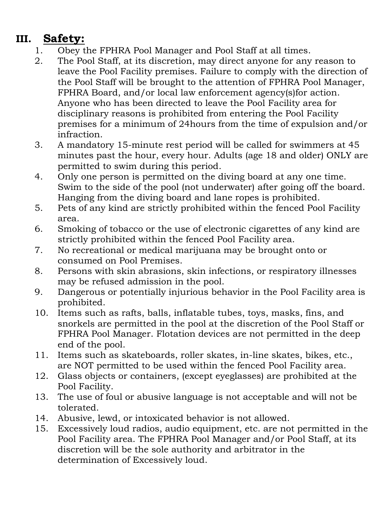# **III. Safety:**

- 1. Obey the FPHRA Pool Manager and Pool Staff at all times.
- 2. The Pool Staff, at its discretion, may direct anyone for any reason to leave the Pool Facility premises. Failure to comply with the direction of the Pool Staff will be brought to the attention of FPHRA Pool Manager, FPHRA Board, and/or local law enforcement agency(s)for action. Anyone who has been directed to leave the Pool Facility area for disciplinary reasons is prohibited from entering the Pool Facility premises for a minimum of 24hours from the time of expulsion and/or infraction.
- 3. A mandatory 15-minute rest period will be called for swimmers at 45 minutes past the hour, every hour. Adults (age 18 and older) ONLY are permitted to swim during this period.
- 4. Only one person is permitted on the diving board at any one time. Swim to the side of the pool (not underwater) after going off the board. Hanging from the diving board and lane ropes is prohibited.
- 5. Pets of any kind are strictly prohibited within the fenced Pool Facility area.
- 6. Smoking of tobacco or the use of electronic cigarettes of any kind are strictly prohibited within the fenced Pool Facility area.
- 7. No recreational or medical marijuana may be brought onto or consumed on Pool Premises.
- 8. Persons with skin abrasions, skin infections, or respiratory illnesses may be refused admission in the pool.
- 9. Dangerous or potentially injurious behavior in the Pool Facility area is prohibited.
- 10. Items such as rafts, balls, inflatable tubes, toys, masks, fins, and snorkels are permitted in the pool at the discretion of the Pool Staff or FPHRA Pool Manager. Flotation devices are not permitted in the deep end of the pool.
- 11. Items such as skateboards, roller skates, in-line skates, bikes, etc., are NOT permitted to be used within the fenced Pool Facility area.
- 12. Glass objects or containers, (except eyeglasses) are prohibited at the Pool Facility.
- 13. The use of foul or abusive language is not acceptable and will not be tolerated.
- 14. Abusive, lewd, or intoxicated behavior is not allowed.
- 15. Excessively loud radios, audio equipment, etc. are not permitted in the Pool Facility area. The FPHRA Pool Manager and/or Pool Staff, at its discretion will be the sole authority and arbitrator in the determination of Excessively loud.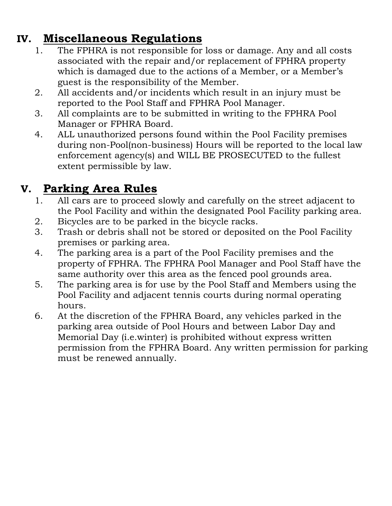### **IV. Miscellaneous Regulations**

- 1. The FPHRA is not responsible for loss or damage. Any and all costs associated with the repair and/or replacement of FPHRA property which is damaged due to the actions of a Member, or a Member's guest is the responsibility of the Member.
- 2. All accidents and/or incidents which result in an injury must be reported to the Pool Staff and FPHRA Pool Manager.
- 3. All complaints are to be submitted in writing to the FPHRA Pool Manager or FPHRA Board.
- 4. ALL unauthorized persons found within the Pool Facility premises during non-Pool(non-business) Hours will be reported to the local law enforcement agency(s) and WILL BE PROSECUTED to the fullest extent permissible by law.

## **V. Parking Area Rules**

- 1. All cars are to proceed slowly and carefully on the street adjacent to the Pool Facility and within the designated Pool Facility parking area.
- 2. Bicycles are to be parked in the bicycle racks.
- 3. Trash or debris shall not be stored or deposited on the Pool Facility premises or parking area.
- 4. The parking area is a part of the Pool Facility premises and the property of FPHRA. The FPHRA Pool Manager and Pool Staff have the same authority over this area as the fenced pool grounds area.
- 5. The parking area is for use by the Pool Staff and Members using the Pool Facility and adjacent tennis courts during normal operating hours.
- 6. At the discretion of the FPHRA Board, any vehicles parked in the parking area outside of Pool Hours and between Labor Day and Memorial Day (i.e.winter) is prohibited without express written permission from the FPHRA Board. Any written permission for parking must be renewed annually.